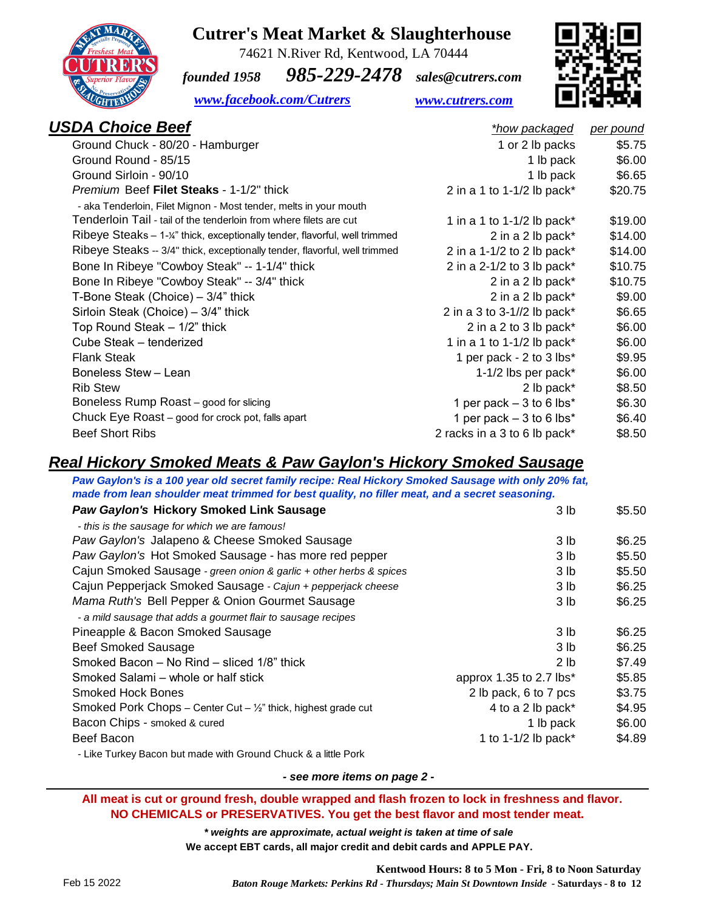### **Cutrer's Meat Market & Slaughterhouse** 74621 N.River Rd, Kentwood, LA 70444

## *founded 1958 985-229-2478 sales@cutrers.com*



 *[www.facebook.com/Cutrers](http://www.facebook.com/Cutrers) [www.cutrers.com](http://www.cutrers.com/)*

| <b>USDA Choice Beef</b>                                                    | *how packaged                | <u>per pound</u> |
|----------------------------------------------------------------------------|------------------------------|------------------|
| Ground Chuck - 80/20 - Hamburger                                           | 1 or 2 lb packs              | \$5.75           |
| Ground Round - 85/15                                                       | 1 lb pack                    | \$6.00           |
| Ground Sirloin - 90/10                                                     | 1 lb pack                    | \$6.65           |
| <i>Premium</i> Beef <b>Filet Steaks</b> - 1-1/2" thick                     | 2 in a 1 to 1-1/2 lb pack*   | \$20.75          |
| - aka Tenderloin, Filet Mignon - Most tender, melts in your mouth          |                              |                  |
| Tenderloin Tail - tail of the tenderloin from where filets are cut         | 1 in a 1 to 1-1/2 lb pack*   | \$19.00          |
| Ribeye Steaks - 1-¼" thick, exceptionally tender, flavorful, well trimmed  | 2 in a 2 lb pack*            | \$14.00          |
| Ribeye Steaks -- 3/4" thick, exceptionally tender, flavorful, well trimmed | 2 in a 1-1/2 to 2 lb pack*   | \$14.00          |
| Bone In Ribeye "Cowboy Steak" -- 1-1/4" thick                              | 2 in a $2-1/2$ to 3 lb pack* | \$10.75          |
| Bone In Ribeye "Cowboy Steak" -- 3/4" thick                                | 2 in a 2 lb pack*            | \$10.75          |
| T-Bone Steak (Choice) $-3/4$ " thick                                       | 2 in a 2 lb pack*            | \$9.00           |
| Sirloin Steak (Choice) - 3/4" thick                                        | 2 in a 3 to 3-1//2 lb pack*  | \$6.65           |
| Top Round Steak - 1/2" thick                                               | 2 in a 2 to 3 lb pack*       | \$6.00           |
| Cube Steak - tenderized                                                    | 1 in a 1 to 1-1/2 lb pack*   | \$6.00           |
| <b>Flank Steak</b>                                                         | 1 per pack - 2 to 3 lbs*     | \$9.95           |
| Boneless Stew - Lean                                                       | 1-1/2 lbs per pack*          | \$6.00           |
| <b>Rib Stew</b>                                                            | 2 lb pack*                   | \$8.50           |
| Boneless Rump Roast - good for slicing                                     | 1 per pack $-3$ to 6 lbs*    | \$6.30           |
| Chuck Eye Roast – good for crock pot, falls apart                          | 1 per pack $-3$ to 6 lbs*    | \$6.40           |
| <b>Beef Short Ribs</b>                                                     | 2 racks in a 3 to 6 lb pack* | \$8.50           |
|                                                                            |                              |                  |

### *Real Hickory Smoked Meats & Paw Gaylon's Hickory Smoked Sausage*

*Paw Gaylon's is a 100 year old secret family recipe: Real Hickory Smoked Sausage with only 20% fat, made from lean shoulder meat trimmed for best quality, no filler meat, and a secret seasoning.*

| <b>Paw Gaylon's Hickory Smoked Link Sausage</b>                          | 3 <sub>lb</sub>         | \$5.50 |
|--------------------------------------------------------------------------|-------------------------|--------|
| - this is the sausage for which we are famous!                           |                         |        |
| Paw Gaylon's Jalapeno & Cheese Smoked Sausage                            | 3 <sub>lb</sub>         | \$6.25 |
| Paw Gaylon's Hot Smoked Sausage - has more red pepper                    | 3 <sub>lb</sub>         | \$5.50 |
| Cajun Smoked Sausage - green onion & garlic + other herbs & spices       | 3 <sub>lb</sub>         | \$5.50 |
| Cajun Pepperjack Smoked Sausage - Cajun + pepperjack cheese              | 3 <sub>lb</sub>         | \$6.25 |
| Mama Ruth's Bell Pepper & Onion Gourmet Sausage                          | 3 lb                    | \$6.25 |
| - a mild sausage that adds a gourmet flair to sausage recipes            |                         |        |
| Pineapple & Bacon Smoked Sausage                                         | 3 lb                    | \$6.25 |
| <b>Beef Smoked Sausage</b>                                               | 3 <sub>lb</sub>         | \$6.25 |
| Smoked Bacon – No Rind – sliced 1/8" thick                               | 2 <sub>1b</sub>         | \$7.49 |
| Smoked Salami – whole or half stick                                      | approx 1.35 to 2.7 lbs* | \$5.85 |
| Smoked Hock Bones                                                        | 2 lb pack, 6 to 7 pcs   | \$3.75 |
| Smoked Pork Chops - Center Cut $ \frac{1}{2}$ " thick, highest grade cut | 4 to a 2 lb pack*       | \$4.95 |
| Bacon Chips - smoked & cured                                             | 1 lb pack               | \$6.00 |
| Beef Bacon                                                               | 1 to 1-1/2 lb pack*     | \$4.89 |
|                                                                          |                         |        |

- Like Turkey Bacon but made with Ground Chuck & a little Pork

*- see more items on page 2 -*

 **All meat is cut or ground fresh, double wrapped and flash frozen to lock in freshness and flavor. NO CHEMICALS or PRESERVATIVES. You get the best flavor and most tender meat.**

> *\* weights are approximate, actual weight is taken at time of sale* **We accept EBT cards, all major credit and debit cards and APPLE PAY.**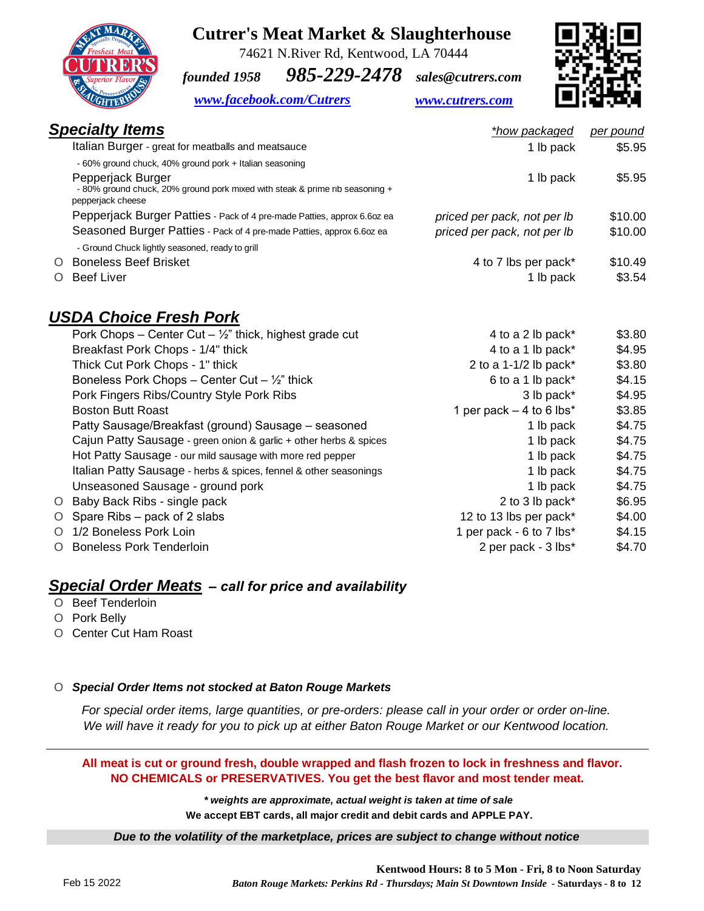### **Cutrer's Meat Market & Slaughterhouse**

 74621 N.River Rd, Kentwood, LA 70444 *founded 1958 985-229-2478 sales@cutrers.com*



#### *[www.facebook.com/Cutrers](http://www.facebook.com/Cutrers) [www.cutrers.com](http://www.cutrers.com/)*



| <b>Specialty Items</b>                                                                                                 | *how packaged               | per pound |
|------------------------------------------------------------------------------------------------------------------------|-----------------------------|-----------|
| Italian Burger - great for meatballs and meatsauce                                                                     | 1 lb pack                   | \$5.95    |
| - 60% ground chuck, 40% ground pork + Italian seasoning                                                                |                             |           |
| Pepperjack Burger<br>- 80% ground chuck, 20% ground pork mixed with steak & prime rib seasoning +<br>pepperjack cheese | 1 lb pack                   | \$5.95    |
| Pepperjack Burger Patties - Pack of 4 pre-made Patties, approx 6.6oz ea                                                | priced per pack, not per Ib | \$10.00   |
| Seasoned Burger Patties - Pack of 4 pre-made Patties, approx 6.6oz ea                                                  | priced per pack, not per lb | \$10.00   |
| - Ground Chuck lightly seasoned, ready to grill                                                                        |                             |           |
| <b>Boneless Beef Brisket</b><br>$\Omega$                                                                               | 4 to 7 lbs per pack*        | \$10.49   |
| <b>Beef Liver</b>                                                                                                      | 1 lb pack                   | \$3.54    |

### *USDA Choice Fresh Pork*

| Pork Chops - Center Cut - $\frac{1}{2}$ " thick, highest grade cut | 4 to a 2 lb pack*          | \$3.80 |
|--------------------------------------------------------------------|----------------------------|--------|
| Breakfast Pork Chops - 1/4" thick                                  | 4 to a 1 lb pack*          | \$4.95 |
| Thick Cut Pork Chops - 1" thick                                    | 2 to a 1-1/2 lb pack*      | \$3.80 |
| Boneless Pork Chops – Center Cut – $\frac{1}{2}$ " thick           | 6 to a 1 lb pack*          | \$4.15 |
| Pork Fingers Ribs/Country Style Pork Ribs                          | 3 lb pack*                 | \$4.95 |
| <b>Boston Butt Roast</b>                                           | 1 per pack $-$ 4 to 6 lbs* | \$3.85 |
| Patty Sausage/Breakfast (ground) Sausage – seasoned                | 1 lb pack                  | \$4.75 |
| Cajun Patty Sausage - green onion & garlic + other herbs & spices  | 1 lb pack                  | \$4.75 |
| Hot Patty Sausage - our mild sausage with more red pepper          | 1 lb pack                  | \$4.75 |
| Italian Patty Sausage - herbs & spices, fennel & other seasonings  | 1 lb pack                  | \$4.75 |
| Unseasoned Sausage - ground pork                                   | 1 lb pack                  | \$4.75 |
| O Baby Back Ribs - single pack                                     | 2 to 3 lb pack*            | \$6.95 |
| O Spare Ribs – pack of 2 slabs                                     | 12 to 13 lbs per pack*     | \$4.00 |
| O 1/2 Boneless Pork Loin                                           | 1 per pack - 6 to 7 lbs*   | \$4.15 |
| O Boneless Pork Tenderloin                                         | 2 per pack - 3 lbs*        | \$4.70 |

#### *Special Order Meats – call for price and availability*

- O Beef Tenderloin
- O Pork Belly
- O Center Cut Ham Roast

#### O *Special Order Items not stocked at Baton Rouge Markets*

*For special order items, large quantities, or pre-orders: please call in your order or order on-line. We will have it ready for you to pick up at either Baton Rouge Market or our Kentwood location.*

#### **All meat is cut or ground fresh, double wrapped and flash frozen to lock in freshness and flavor. NO CHEMICALS or PRESERVATIVES. You get the best flavor and most tender meat.**

*\* weights are approximate, actual weight is taken at time of sale* **We accept EBT cards, all major credit and debit cards and APPLE PAY.**

#### *Due to the volatility of the marketplace, prices are subject to change without notice*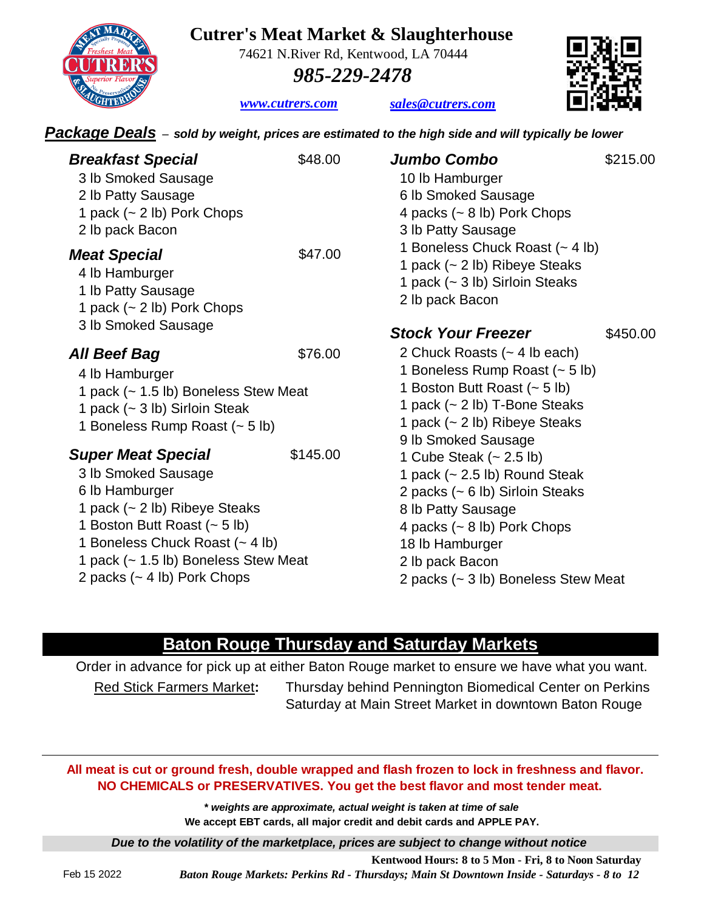### **Cutrer's Meat Market & Slaughterhouse**

74621 N.River Rd, Kentwood, LA 70444

*[sales@cutrers.com](mailto:sales@cutrers.com)*

 *985-229-2478*

*[www](http://www.cutrers.com/).cutrers.com*

*Package Deals – sold by weight, prices are estimated to the high side and will typically be lower* 

| <b>Breakfast Special</b><br>3 lb Smoked Sausage<br>2 lb Patty Sausage<br>1 pack $(-2 \text{ lb})$ Pork Chops<br>2 lb pack Bacon                                                                                                                              | \$48.00  | <b>Jumbo Combo</b><br>10 lb Hamburger<br>6 lb Smoked Sausage<br>4 packs $({\sim} 8 \text{ lb})$ Pork Chops<br>3 lb Patty Sausage                                                                                                                 | \$215.00 |
|--------------------------------------------------------------------------------------------------------------------------------------------------------------------------------------------------------------------------------------------------------------|----------|--------------------------------------------------------------------------------------------------------------------------------------------------------------------------------------------------------------------------------------------------|----------|
| <b>Meat Special</b><br>4 lb Hamburger<br>1 lb Patty Sausage<br>1 pack $(-2 \text{ lb})$ Pork Chops<br>3 lb Smoked Sausage                                                                                                                                    | \$47.00  | 1 Boneless Chuck Roast (~ 4 lb)<br>1 pack (~ 2 lb) Ribeye Steaks<br>1 pack (~ 3 lb) Sirloin Steaks<br>2 lb pack Bacon<br><b>Stock Your Freezer</b>                                                                                               | \$450.00 |
| All Beef Bag<br>4 lb Hamburger<br>1 pack (~ 1.5 lb) Boneless Stew Meat<br>1 pack (~ 3 lb) Sirloin Steak<br>1 Boneless Rump Roast (~ 5 lb)                                                                                                                    | \$76.00  | 2 Chuck Roasts (~ 4 lb each)<br>1 Boneless Rump Roast (~ 5 lb)<br>1 Boston Butt Roast (~ 5 lb)<br>1 pack (~ 2 lb) T-Bone Steaks<br>1 pack (~ 2 lb) Ribeye Steaks<br>9 lb Smoked Sausage                                                          |          |
| <b>Super Meat Special</b><br>3 lb Smoked Sausage<br>6 lb Hamburger<br>1 pack (~ 2 lb) Ribeye Steaks<br>1 Boston Butt Roast (~ 5 lb)<br>1 Boneless Chuck Roast (~ 4 lb)<br>1 pack (~ 1.5 lb) Boneless Stew Meat<br>2 packs $({\sim} 4 \text{ lb})$ Pork Chops | \$145.00 | 1 Cube Steak $(-2.5 \text{ lb})$<br>1 pack $(-2.5 \text{ lb})$ Round Steak<br>2 packs (~ 6 lb) Sirloin Steaks<br>8 lb Patty Sausage<br>4 packs $(-8 lb)$ Pork Chops<br>18 lb Hamburger<br>2 lb pack Bacon<br>2 packs (~ 3 lb) Boneless Stew Meat |          |

### **Baton Rouge Thursday and Saturday Markets**

Saturday at Main Street Market in downtown Baton Rouge Red Stick Farmers Market**:** Thursday behind Pennington Biomedical Center on Perkins Order in advance for pick up at either Baton Rouge market to ensure we have what you want.

#### **All meat is cut or ground fresh, double wrapped and flash frozen to lock in freshness and flavor. NO CHEMICALS or PRESERVATIVES. You get the best flavor and most tender meat.**

*\* weights are approximate, actual weight is taken at time of sale* **We accept EBT cards, all major credit and debit cards and APPLE PAY.**

*Due to the volatility of the marketplace, prices are subject to change without notice*

**Kentwood Hours: 8 to 5 Mon - Fri, 8 to Noon Saturday** *Baton Rouge Markets: Perkins Rd - Thursdays; Main St Downtown Inside - Saturdays - 8 to 12*